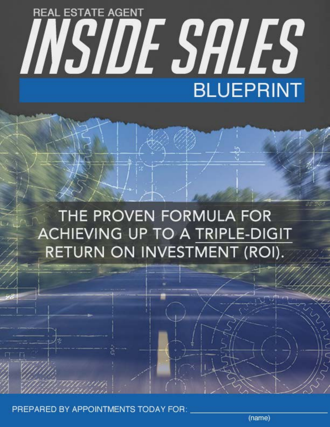# **REAL ESTATE AGENT** INSIDE SALES **BLUEPRINT**

## THE PROVEN FORMULA FOR **ACHIEVING UP TO A TRIPLE-DIGIT** RETURN ON INVESTMENT (ROI).

PREPARED BY APPOINTMENTS TODAY FOR:

(name)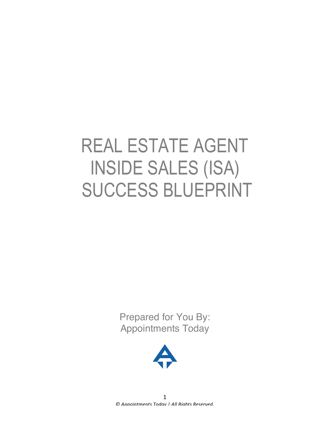# REAL ESTATE AGENT INSIDE SALES (ISA) SUCCESS BLUEPRINT

Prepared for You By: Appointments Today

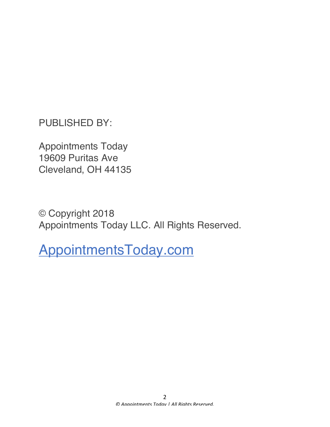PUBLISHED BY:

Appointments Today 19609 Puritas Ave Cleveland, OH 44135

© Copyright 2018 Appointments Today LLC. All Rights Reserved.

AppointmentsToday.com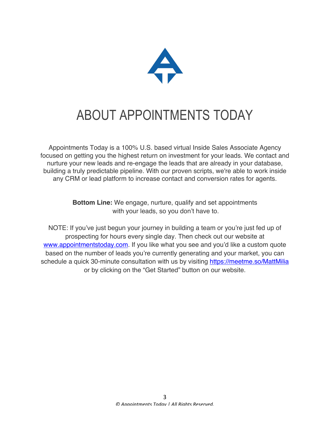

## ABOUT APPOINTMENTS TODAY

Appointments Today is a 100% U.S. based virtual Inside Sales Associate Agency focused on getting you the highest return on investment for your leads. We contact and nurture your new leads and re-engage the leads that are already in your database, building a truly predictable pipeline. With our proven scripts, we're able to work inside any CRM or lead platform to increase contact and conversion rates for agents.

> **Bottom Line:** We engage, nurture, qualify and set appointments with your leads, so you don't have to.

NOTE: If you've just begun your journey in building a team or you're just fed up of prospecting for hours every single day. Then check out our website at www.appointmentstoday.com. If you like what you see and you'd like a custom quote based on the number of leads you're currently generating and your market, you can schedule a quick 30-minute consultation with us by visiting https://meetme.so/MattMilia or by clicking on the "Get Started" button on our website.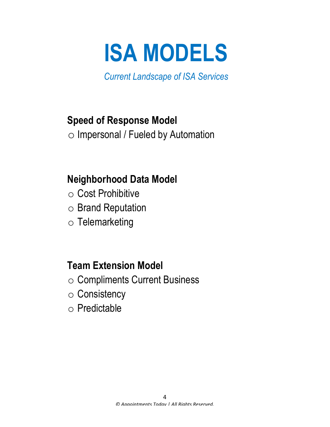

*Current Landscape of ISA Services*

## **Speed of Response Model**

o Impersonal / Fueled by Automation

## **Neighborhood Data Model**

- o Cost Prohibitive
- o Brand Reputation
- o Telemarketing

## **Team Extension Model**

- o Compliments Current Business
- o Consistency
- o Predictable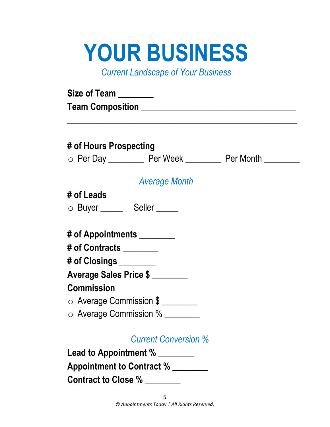# **YOUR BUSINESS**

*Current Landscape of Your Business*

| # of Hours Prospecting     |                                                            |  |
|----------------------------|------------------------------------------------------------|--|
|                            | ○ Per Day ___________ Per Week ___________ Per Month _____ |  |
|                            | <b>Average Month</b>                                       |  |
| # of Leads                 |                                                            |  |
|                            | ○ Buyer ______ Seller _____                                |  |
| # of Appointments ________ |                                                            |  |
| # of Contracts ________    |                                                            |  |
| # of Closings _______      |                                                            |  |
|                            | Average Sales Price \$                                     |  |
| <b>Commission</b>          |                                                            |  |
|                            |                                                            |  |
|                            | ○ Average Commission \$                                    |  |

**Contract to Close %** \_\_\_\_\_\_\_\_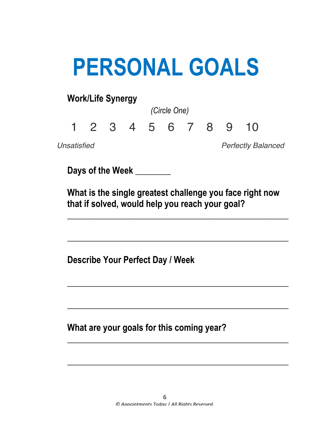# **PERSONAL GOALS**

## **Work/Life Synergy** *(Circle One)* 1 2 3 4 5 6 7 8 9 10 *Unsatisfied Perfectly Balanced*

**Days of the Week** \_\_\_\_\_\_\_\_

 **What is the single greatest challenge you face right now that if solved, would help you reach your goal?**

 $\overline{\phantom{a}}$  , and the contract of the contract of the contract of the contract of the contract of the contract of the contract of the contract of the contract of the contract of the contract of the contract of the contrac

 $\overline{\phantom{a}}$  , and the contract of the contract of the contract of the contract of the contract of the contract of the contract of the contract of the contract of the contract of the contract of the contract of the contrac

 $\overline{\phantom{a}}$  , and the contract of the contract of the contract of the contract of the contract of the contract of the contract of the contract of the contract of the contract of the contract of the contract of the contrac

 $\overline{\phantom{a}}$  , and the contract of the contract of the contract of the contract of the contract of the contract of the contract of the contract of the contract of the contract of the contract of the contract of the contrac

 $\overline{\phantom{a}}$  , and the contract of the contract of the contract of the contract of the contract of the contract of the contract of the contract of the contract of the contract of the contract of the contract of the contrac

 $\overline{\phantom{a}}$  , and the contract of the contract of the contract of the contract of the contract of the contract of the contract of the contract of the contract of the contract of the contract of the contract of the contrac

**Describe Your Perfect Day / Week**

**What are your goals for this coming year?**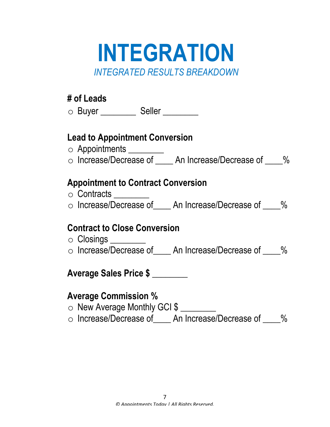## **INTEGRATION** *INTEGRATED RESULTS BREAKDOWN*

### **# of Leads**

o Buyer \_\_\_\_\_\_\_\_\_ Seller \_\_\_\_\_\_\_

### **Lead to Appointment Conversion**

- o Appointments \_\_\_\_\_\_\_\_
- $\circ$  Increase/Decrease of \_\_\_\_ An Increase/Decrease of \_\_\_\_%

## **Appointment to Contract Conversion**

- o Contracts \_\_\_\_\_\_\_\_
- $\circ$  Increase/Decrease of \_\_\_\_ An Increase/Decrease of \_\_\_\_%

### **Contract to Close Conversion**

o Closings \_\_\_\_\_\_\_\_ o Increase/Decrease of An Increase/Decrease of \_\_\_\_%

## **Average Sales Price \$ \_\_\_\_\_\_\_\_**

### **Average Commission %**

- o New Average Monthly GCI \$
- o Increase/Decrease of An Increase/Decrease of %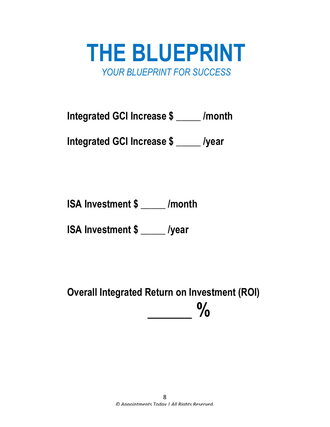

**Integrated GCI Increase \$ \_\_\_\_\_ /month**

**Integrated GCI Increase \$ \_\_\_\_\_ /year**

**ISA Investment \$ \_\_\_\_\_ /month**

**ISA Investment \$ \_\_\_\_\_ /year**

 **Overall Integrated Return on Investment (ROI)**   $\frac{0}{0}$